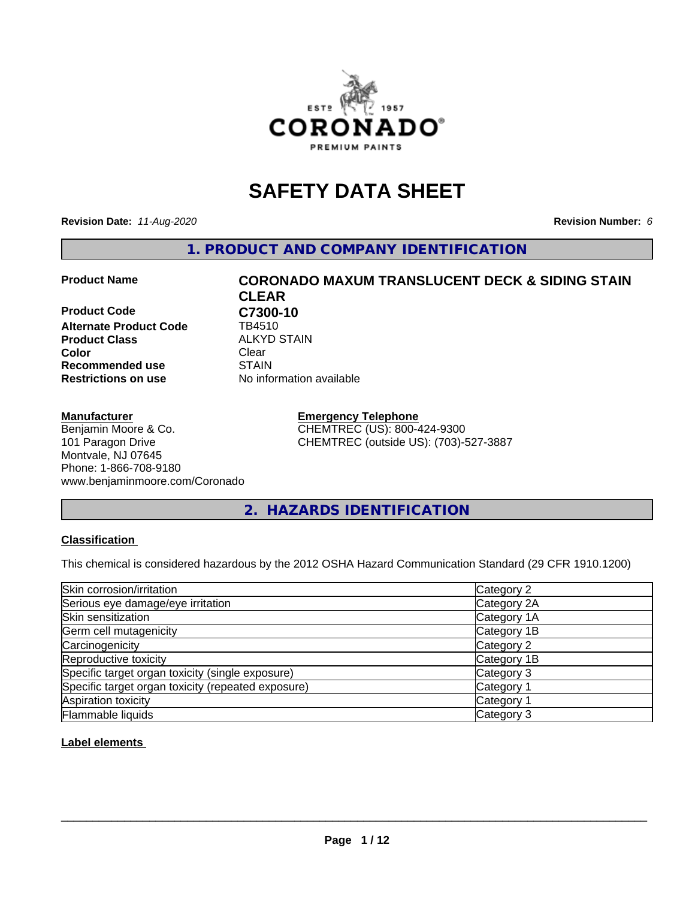

## **SAFETY DATA SHEET**

**Revision Date:** *11-Aug-2020* **Revision Number:** *6*

**1. PRODUCT AND COMPANY IDENTIFICATION**

**Product Code C7300-10**<br>Alternate Product Code TB4510 **Alternate Product Code Product Class ALKYD STAIN**<br> **Color** Clear **Color** Clear Clear **Recommended use STAIN Restrictions on use** No information available

#### **Manufacturer**

Benjamin Moore & Co. 101 Paragon Drive Montvale, NJ 07645 Phone: 1-866-708-9180 www.benjaminmoore.com/Coronado

# **Product Name CORONADO MAXUM TRANSLUCENT DECK & SIDING STAIN CLEAR**

**Emergency Telephone** CHEMTREC (US): 800-424-9300 CHEMTREC (outside US): (703)-527-3887

**2. HAZARDS IDENTIFICATION**

#### **Classification**

This chemical is considered hazardous by the 2012 OSHA Hazard Communication Standard (29 CFR 1910.1200)

| Skin corrosion/irritation                          | Category 2            |
|----------------------------------------------------|-----------------------|
| Serious eye damage/eye irritation                  | Category 2A           |
| Skin sensitization                                 | Category 1A           |
| Germ cell mutagenicity                             | Category 1B           |
| Carcinogenicity                                    | Category 2            |
| Reproductive toxicity                              | Category 1B           |
| Specific target organ toxicity (single exposure)   | Category 3            |
| Specific target organ toxicity (repeated exposure) | Category <sup>-</sup> |
| Aspiration toxicity                                | Category 1            |
| Flammable liquids                                  | Category 3            |

#### **Label elements**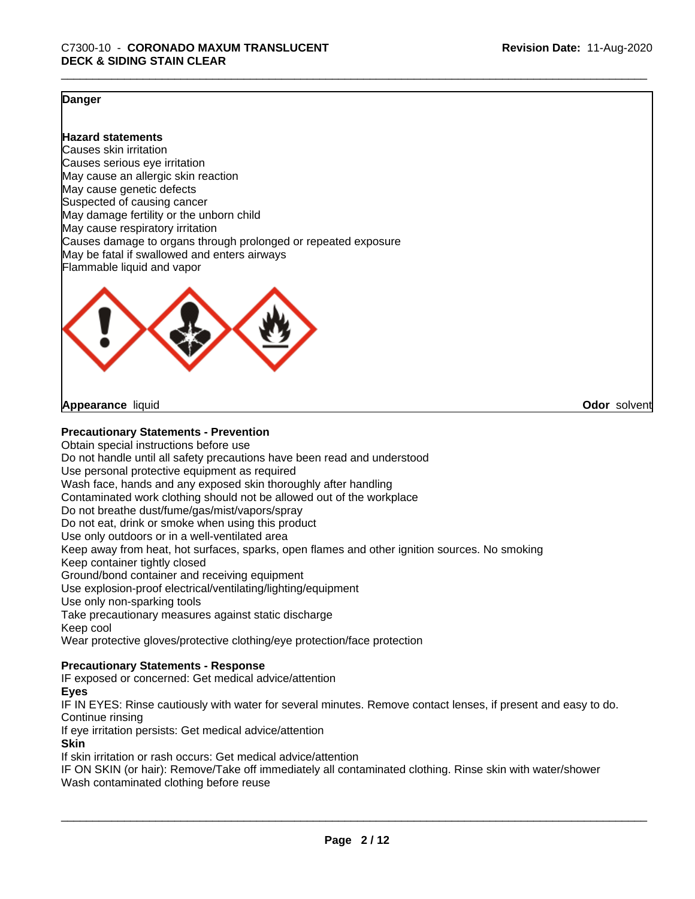**Odor** solvent

#### **Danger**

#### **Hazard statements**

Causes skin irritation Causes serious eye irritation May cause an allergic skin reaction May cause genetic defects Suspected of causing cancer May damage fertility or the unborn child May cause respiratory irritation Causes damage to organs through prolonged or repeated exposure May be fatal if swallowed and enters airways Flammable liquid and vapor



**Appearance** liquid

#### **Precautionary Statements - Prevention**

Obtain special instructions before use Do not handle until all safety precautions have been read and understood Use personal protective equipment as required Wash face, hands and any exposed skin thoroughly after handling Contaminated work clothing should not be allowed out of the workplace Do not breathe dust/fume/gas/mist/vapors/spray Do not eat, drink or smoke when using this product Use only outdoors or in a well-ventilated area Keep away from heat, hot surfaces, sparks, open flames and other ignition sources. No smoking Keep container tightly closed Ground/bond container and receiving equipment Use explosion-proof electrical/ventilating/lighting/equipment Use only non-sparking tools Take precautionary measures against static discharge Keep cool Wear protective gloves/protective clothing/eye protection/face protection

#### **Precautionary Statements - Response**

IF exposed or concerned: Get medical advice/attention

#### **Eyes**

IF IN EYES: Rinse cautiously with water for several minutes. Remove contact lenses, if present and easy to do. Continue rinsing

If eye irritation persists: Get medical advice/attention

#### **Skin**

If skin irritation or rash occurs: Get medical advice/attention

IF ON SKIN (or hair): Remove/Take off immediately all contaminated clothing. Rinse skin with water/shower Wash contaminated clothing before reuse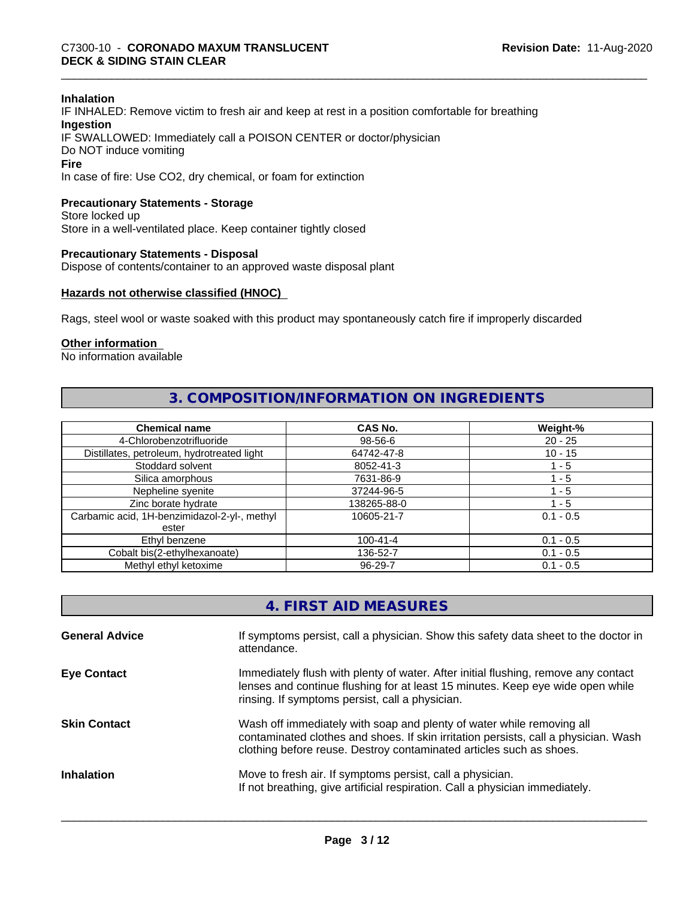#### **Inhalation**

IF INHALED: Remove victim to fresh air and keep at rest in a position comfortable for breathing **Ingestion** IF SWALLOWED: Immediately call a POISON CENTER or doctor/physician Do NOT induce vomiting **Fire**

In case of fire: Use CO2, dry chemical, or foam for extinction

#### **Precautionary Statements - Storage**

Store locked up Store in a well-ventilated place. Keep container tightly closed

#### **Precautionary Statements - Disposal**

Dispose of contents/container to an approved waste disposal plant

#### **Hazards not otherwise classified (HNOC)**

Rags, steel wool or waste soaked with this product may spontaneously catch fire if improperly discarded

#### **Other information**

No information available

#### **3. COMPOSITION/INFORMATION ON INGREDIENTS**

| <b>Chemical name</b>                         | CAS No.        | Weight-%    |
|----------------------------------------------|----------------|-------------|
| 4-Chlorobenzotrifluoride                     | 98-56-6        | $20 - 25$   |
| Distillates, petroleum, hydrotreated light   | 64742-47-8     | $10 - 15$   |
| Stoddard solvent                             | 8052-41-3      | 1 - 5       |
| Silica amorphous                             | 7631-86-9      | 1 - 5       |
| Nepheline syenite                            | 37244-96-5     | ' - 5       |
| Zinc borate hydrate                          | 138265-88-0    | 1 - 5       |
| Carbamic acid, 1H-benzimidazol-2-yl-, methyl | 10605-21-7     | $0.1 - 0.5$ |
| ester                                        |                |             |
| Ethyl benzene                                | $100 - 41 - 4$ | $0.1 - 0.5$ |
| Cobalt bis(2-ethylhexanoate)                 | 136-52-7       | $0.1 - 0.5$ |
| Methyl ethyl ketoxime                        | 96-29-7        | $0.1 - 0.5$ |

| 4. FIRST AID MEASURES |  |
|-----------------------|--|
|-----------------------|--|

| <b>General Advice</b> | If symptoms persist, call a physician. Show this safety data sheet to the doctor in<br>attendance.                                                                                                                                  |
|-----------------------|-------------------------------------------------------------------------------------------------------------------------------------------------------------------------------------------------------------------------------------|
| <b>Eye Contact</b>    | Immediately flush with plenty of water. After initial flushing, remove any contact<br>lenses and continue flushing for at least 15 minutes. Keep eye wide open while<br>rinsing. If symptoms persist, call a physician.             |
| <b>Skin Contact</b>   | Wash off immediately with soap and plenty of water while removing all<br>contaminated clothes and shoes. If skin irritation persists, call a physician. Wash<br>clothing before reuse. Destroy contaminated articles such as shoes. |
| <b>Inhalation</b>     | Move to fresh air. If symptoms persist, call a physician.<br>If not breathing, give artificial respiration. Call a physician immediately.                                                                                           |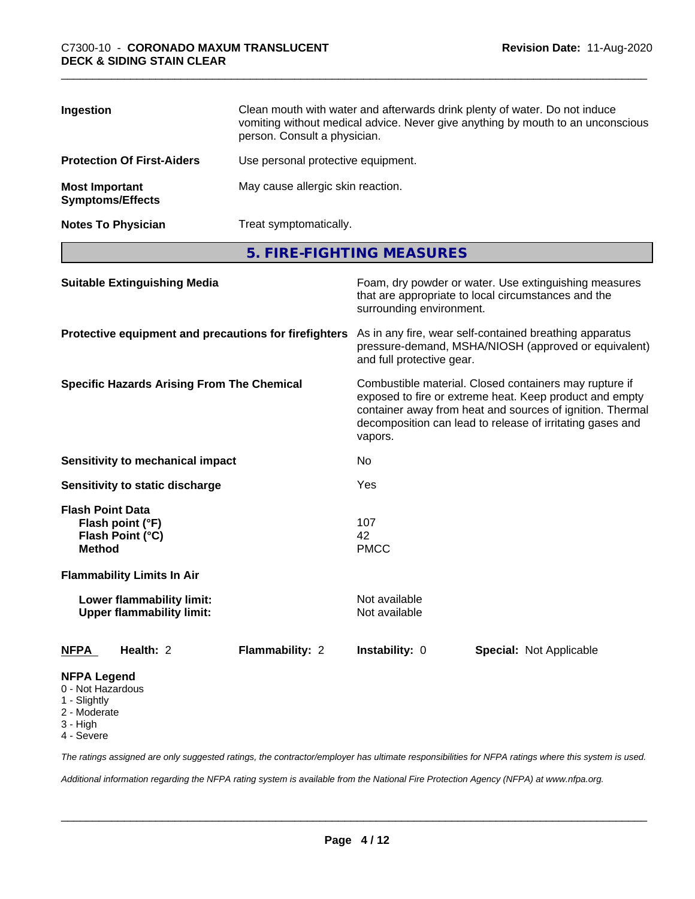| Ingestion                                        | Clean mouth with water and afterwards drink plenty of water. Do not induce<br>vomiting without medical advice. Never give anything by mouth to an unconscious<br>person. Consult a physician. |
|--------------------------------------------------|-----------------------------------------------------------------------------------------------------------------------------------------------------------------------------------------------|
| <b>Protection Of First-Aiders</b>                | Use personal protective equipment.                                                                                                                                                            |
| <b>Most Important</b><br><b>Symptoms/Effects</b> | May cause allergic skin reaction.                                                                                                                                                             |
| <b>Notes To Physician</b>                        | Treat symptomatically.                                                                                                                                                                        |

**5. FIRE-FIGHTING MEASURES**

| <b>Suitable Extinguishing Media</b><br>Protective equipment and precautions for firefighters |                 | Foam, dry powder or water. Use extinguishing measures<br>that are appropriate to local circumstances and the<br>surrounding environment.<br>As in any fire, wear self-contained breathing apparatus<br>pressure-demand, MSHA/NIOSH (approved or equivalent)<br>and full protective gear. |                                |  |
|----------------------------------------------------------------------------------------------|-----------------|------------------------------------------------------------------------------------------------------------------------------------------------------------------------------------------------------------------------------------------------------------------------------------------|--------------------------------|--|
|                                                                                              |                 |                                                                                                                                                                                                                                                                                          |                                |  |
| Sensitivity to mechanical impact                                                             |                 | No                                                                                                                                                                                                                                                                                       |                                |  |
| Sensitivity to static discharge                                                              |                 | Yes                                                                                                                                                                                                                                                                                      |                                |  |
| <b>Flash Point Data</b><br>Flash point (°F)<br>Flash Point (°C)<br><b>Method</b>             |                 | 107<br>42<br><b>PMCC</b>                                                                                                                                                                                                                                                                 |                                |  |
| <b>Flammability Limits In Air</b>                                                            |                 |                                                                                                                                                                                                                                                                                          |                                |  |
| Lower flammability limit:<br><b>Upper flammability limit:</b>                                |                 | Not available<br>Not available                                                                                                                                                                                                                                                           |                                |  |
| Health: 2<br><b>NFPA</b>                                                                     | Flammability: 2 | Instability: 0                                                                                                                                                                                                                                                                           | <b>Special: Not Applicable</b> |  |
| <b>NFPA Legend</b><br>0 - Not Hazardous<br>1 - Slightly<br>2 - Moderate<br>3 - High          |                 |                                                                                                                                                                                                                                                                                          |                                |  |

4 - Severe

*The ratings assigned are only suggested ratings, the contractor/employer has ultimate responsibilities for NFPA ratings where this system is used.*

*Additional information regarding the NFPA rating system is available from the National Fire Protection Agency (NFPA) at www.nfpa.org.*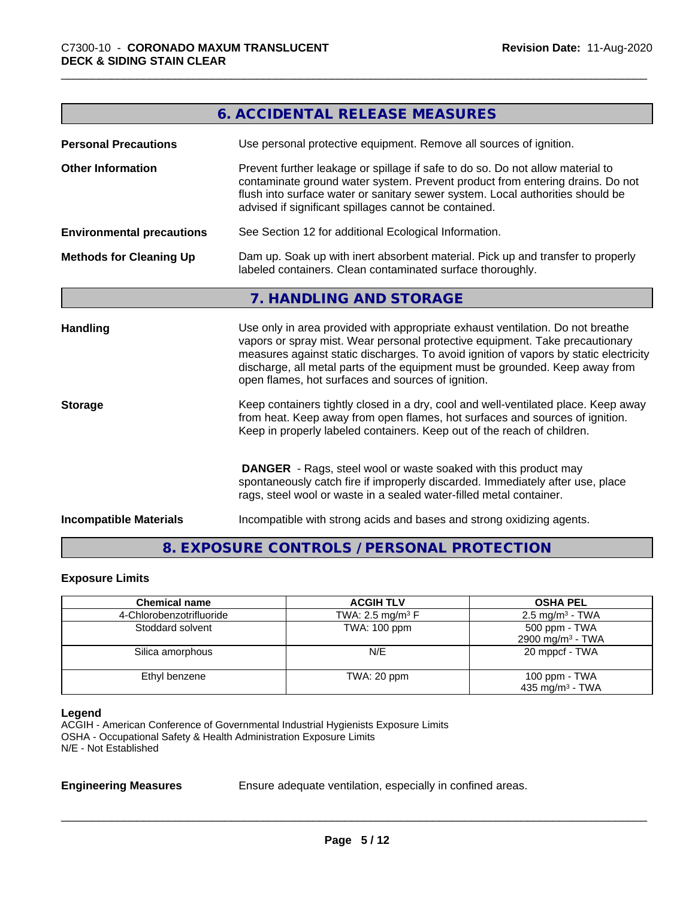|                                  | 6. ACCIDENTAL RELEASE MEASURES                                                                                                                                                                                                                                                                                                                                                                |
|----------------------------------|-----------------------------------------------------------------------------------------------------------------------------------------------------------------------------------------------------------------------------------------------------------------------------------------------------------------------------------------------------------------------------------------------|
| <b>Personal Precautions</b>      | Use personal protective equipment. Remove all sources of ignition.                                                                                                                                                                                                                                                                                                                            |
| <b>Other Information</b>         | Prevent further leakage or spillage if safe to do so. Do not allow material to<br>contaminate ground water system. Prevent product from entering drains. Do not<br>flush into surface water or sanitary sewer system. Local authorities should be<br>advised if significant spillages cannot be contained.                                                                                    |
| <b>Environmental precautions</b> | See Section 12 for additional Ecological Information.                                                                                                                                                                                                                                                                                                                                         |
| <b>Methods for Cleaning Up</b>   | Dam up. Soak up with inert absorbent material. Pick up and transfer to properly<br>labeled containers. Clean contaminated surface thoroughly.                                                                                                                                                                                                                                                 |
|                                  | 7. HANDLING AND STORAGE                                                                                                                                                                                                                                                                                                                                                                       |
| <b>Handling</b>                  | Use only in area provided with appropriate exhaust ventilation. Do not breathe<br>vapors or spray mist. Wear personal protective equipment. Take precautionary<br>measures against static discharges. To avoid ignition of vapors by static electricity<br>discharge, all metal parts of the equipment must be grounded. Keep away from<br>open flames, hot surfaces and sources of ignition. |
| <b>Storage</b>                   | Keep containers tightly closed in a dry, cool and well-ventilated place. Keep away<br>from heat. Keep away from open flames, hot surfaces and sources of ignition.<br>Keep in properly labeled containers. Keep out of the reach of children.                                                                                                                                                 |
|                                  | <b>DANGER</b> - Rags, steel wool or waste soaked with this product may<br>spontaneously catch fire if improperly discarded. Immediately after use, place<br>rags, steel wool or waste in a sealed water-filled metal container.                                                                                                                                                               |
| <b>Incompatible Materials</b>    | Incompatible with strong acids and bases and strong oxidizing agents.                                                                                                                                                                                                                                                                                                                         |

### **8. EXPOSURE CONTROLS / PERSONAL PROTECTION**

#### **Exposure Limits**

| <b>Chemical name</b>     | <b>ACGIH TLV</b>               | <b>OSHA PEL</b>                                |
|--------------------------|--------------------------------|------------------------------------------------|
| 4-Chlorobenzotrifluoride | TWA: 2.5 mg/m <sup>3</sup> $F$ | $2.5 \text{ mg/m}^3$ - TWA                     |
| Stoddard solvent         | TWA: 100 ppm                   | 500 ppm - TWA<br>2900 mg/m <sup>3</sup> - TWA  |
| Silica amorphous         | N/E                            | 20 mppcf - TWA                                 |
| Ethyl benzene            | TWA: 20 ppm                    | 100 ppm $-$ TWA<br>435 mg/m <sup>3</sup> - TWA |

#### **Legend**

ACGIH - American Conference of Governmental Industrial Hygienists Exposure Limits OSHA - Occupational Safety & Health Administration Exposure Limits N/E - Not Established

**Engineering Measures** Ensure adequate ventilation, especially in confined areas.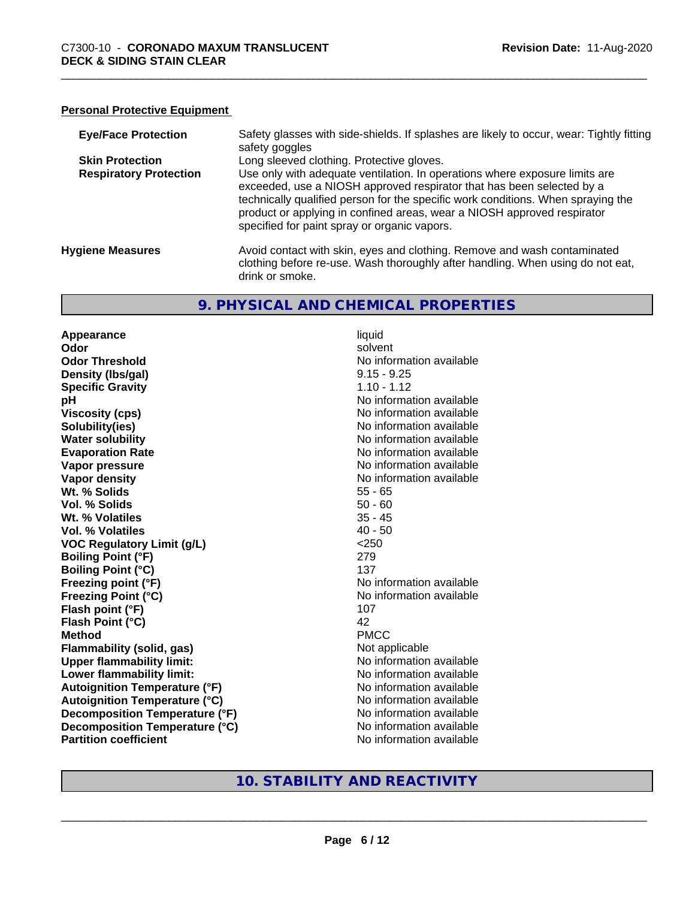#### **Personal Protective Equipment**

| <b>Eye/Face Protection</b>    | Safety glasses with side-shields. If splashes are likely to occur, wear: Tightly fitting<br>safety goggles                                                                                                                                                                                                                                                          |
|-------------------------------|---------------------------------------------------------------------------------------------------------------------------------------------------------------------------------------------------------------------------------------------------------------------------------------------------------------------------------------------------------------------|
| <b>Skin Protection</b>        | Long sleeved clothing. Protective gloves.                                                                                                                                                                                                                                                                                                                           |
| <b>Respiratory Protection</b> | Use only with adequate ventilation. In operations where exposure limits are<br>exceeded, use a NIOSH approved respirator that has been selected by a<br>technically qualified person for the specific work conditions. When spraying the<br>product or applying in confined areas, wear a NIOSH approved respirator<br>specified for paint spray or organic vapors. |
| <b>Hygiene Measures</b>       | Avoid contact with skin, eyes and clothing. Remove and wash contaminated<br>clothing before re-use. Wash thoroughly after handling. When using do not eat,<br>drink or smoke.                                                                                                                                                                                       |

#### **9. PHYSICAL AND CHEMICAL PROPERTIES**

**Appearance** liquid **Odor** solvent **Odor Threshold No information available No information available Density (Ibs/gal)** 9.15 - 9.25 **Specific Gravity** 1.10 - 1.12 **pH** No information available **Viscosity (cps)** No information available Notice 1, 1999 **Solubility(ies)**<br> **Solubility**<br> **Water solubility**<br> **Water solubility Evaporation Rate No information available No information available Vapor pressure** No information available **Vapor density No information available No information available Wt. % Solids** 55 - 65 **Vol. % Solids** 50 - 60 **Wt. % Volatiles** 35 - 45 **Vol. % Volatiles** 40 - 50 **VOC Regulatory Limit (g/L)** <250 **Boiling Point (°F)** 279 **Boiling Point (°C)** 137 **Freezing point (°F)** No information available **Freezing Point (°C)** The Control of the Monometer of Noinformation available **Flash point (°F)** 107 **Flash Point (°C)** 42 **Method** PMCC **Flammability (solid, gas)** Not applicable **Upper flammability limit:** No information available **Lower flammability limit:**<br> **Autoignition Temperature (°F)** No information available **Autoignition Temperature (°F)**<br> **Autoignition Temperature (°C)** No information available **Autoignition Temperature (°C) Decomposition Temperature (°F)** No information available **Decomposition Temperature (°C)** No information available **Partition coefficient Community Contract Contract Contract Contract Contract Contract Contract Contract Contract Contract Contract Contract Contract Contract Contract Contract Contract Contract Contract Contract Contr** 

**No information available** 

#### **10. STABILITY AND REACTIVITY**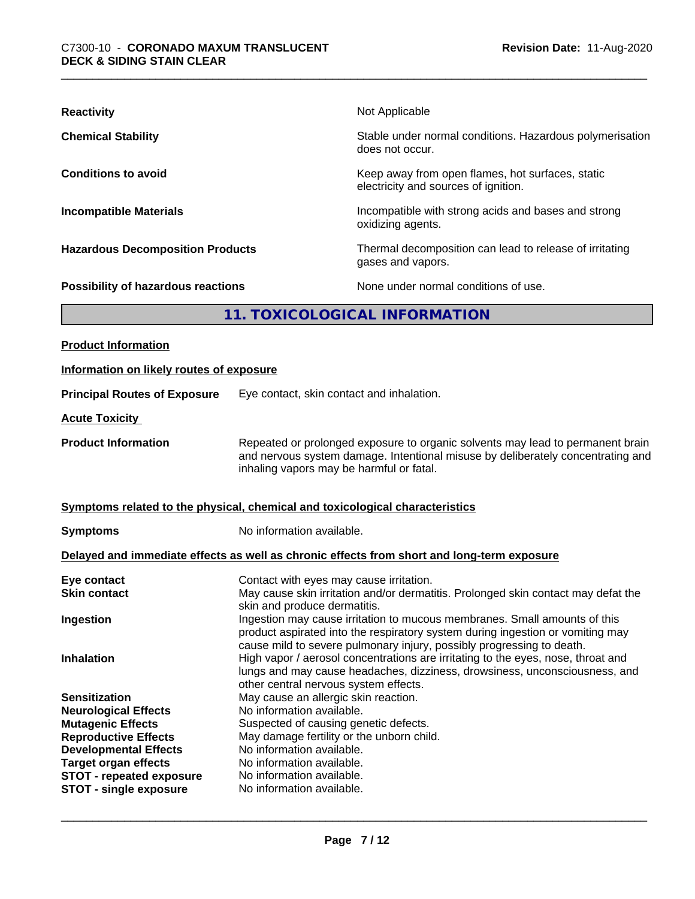| <b>Reactivity</b>                         | Not Applicable                                                                           |  |
|-------------------------------------------|------------------------------------------------------------------------------------------|--|
| <b>Chemical Stability</b>                 | Stable under normal conditions. Hazardous polymerisation<br>does not occur.              |  |
| <b>Conditions to avoid</b>                | Keep away from open flames, hot surfaces, static<br>electricity and sources of ignition. |  |
| <b>Incompatible Materials</b>             | Incompatible with strong acids and bases and strong<br>oxidizing agents.                 |  |
| <b>Hazardous Decomposition Products</b>   | Thermal decomposition can lead to release of irritating<br>gases and vapors.             |  |
| <b>Possibility of hazardous reactions</b> | None under normal conditions of use.                                                     |  |
| 11. TOXICOLOGICAL INFORMATION             |                                                                                          |  |
| <b>Product Information</b>                |                                                                                          |  |

| Information on likely routes of exposure                    |                                                                                                                                                                                                                                                                                  |  |
|-------------------------------------------------------------|----------------------------------------------------------------------------------------------------------------------------------------------------------------------------------------------------------------------------------------------------------------------------------|--|
| <b>Principal Routes of Exposure</b>                         | Eye contact, skin contact and inhalation.                                                                                                                                                                                                                                        |  |
| <b>Acute Toxicity</b>                                       |                                                                                                                                                                                                                                                                                  |  |
| <b>Product Information</b>                                  | Repeated or prolonged exposure to organic solvents may lead to permanent brain<br>and nervous system damage. Intentional misuse by deliberately concentrating and<br>inhaling vapors may be harmful or fatal.                                                                    |  |
|                                                             | Symptoms related to the physical, chemical and toxicological characteristics                                                                                                                                                                                                     |  |
| <b>Symptoms</b>                                             | No information available.                                                                                                                                                                                                                                                        |  |
|                                                             | Delayed and immediate effects as well as chronic effects from short and long-term exposure                                                                                                                                                                                       |  |
| Eye contact                                                 | Contact with eyes may cause irritation.                                                                                                                                                                                                                                          |  |
| <b>Skin contact</b>                                         | May cause skin irritation and/or dermatitis. Prolonged skin contact may defat the                                                                                                                                                                                                |  |
| Ingestion                                                   | skin and produce dermatitis.<br>Ingestion may cause irritation to mucous membranes. Small amounts of this<br>product aspirated into the respiratory system during ingestion or vomiting may                                                                                      |  |
| <b>Inhalation</b>                                           | cause mild to severe pulmonary injury, possibly progressing to death.<br>High vapor / aerosol concentrations are irritating to the eyes, nose, throat and<br>lungs and may cause headaches, dizziness, drowsiness, unconsciousness, and<br>other central nervous system effects. |  |
| <b>Sensitization</b>                                        | May cause an allergic skin reaction.                                                                                                                                                                                                                                             |  |
| <b>Neurological Effects</b>                                 | No information available.                                                                                                                                                                                                                                                        |  |
| <b>Mutagenic Effects</b>                                    | Suspected of causing genetic defects.                                                                                                                                                                                                                                            |  |
| <b>Reproductive Effects</b>                                 | May damage fertility or the unborn child.<br>No information available.                                                                                                                                                                                                           |  |
| <b>Developmental Effects</b><br><b>Target organ effects</b> | No information available.                                                                                                                                                                                                                                                        |  |
| <b>STOT - repeated exposure</b>                             | No information available.                                                                                                                                                                                                                                                        |  |
| <b>STOT - single exposure</b>                               | No information available.                                                                                                                                                                                                                                                        |  |
|                                                             |                                                                                                                                                                                                                                                                                  |  |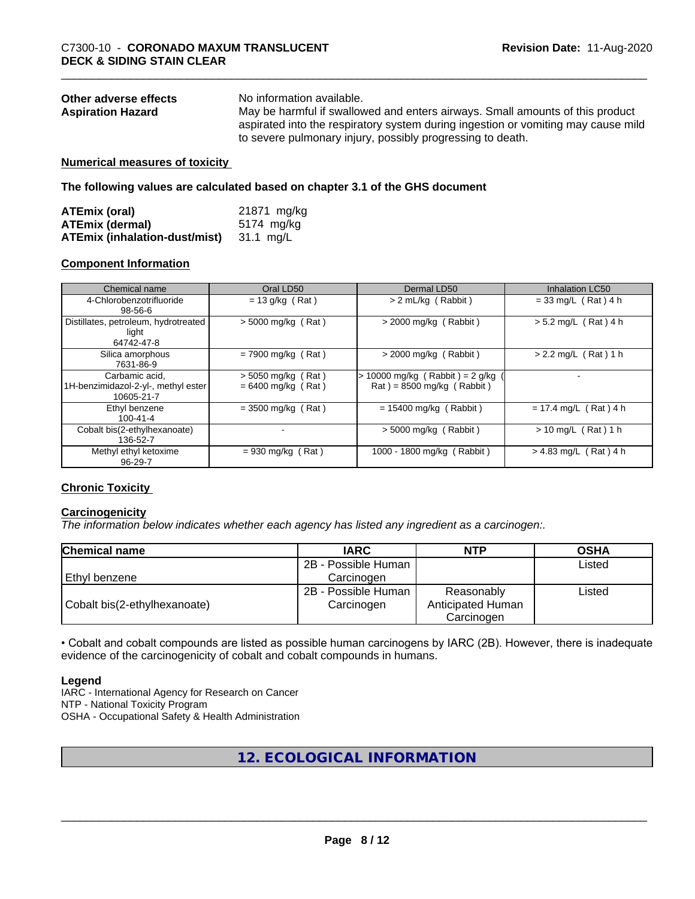| Other adverse effects    | No information available.                                                         |
|--------------------------|-----------------------------------------------------------------------------------|
| <b>Aspiration Hazard</b> | May be harmful if swallowed and enters airways. Small amounts of this product     |
|                          | aspirated into the respiratory system during ingestion or vomiting may cause mild |
|                          | to severe pulmonary injury, possibly progressing to death.                        |

#### **Numerical measures of toxicity**

**The following values are calculated based on chapter 3.1 of the GHS document**

| ATEmix (oral)                           | 21871 mg/kg |
|-----------------------------------------|-------------|
| <b>ATEmix (dermal)</b>                  | 5174 mg/kg  |
| ATEmix (inhalation-dust/mist) 31.1 mg/L |             |

#### **Component Information**

| Chemical name                                                       | Oral LD50                                    | Dermal LD50                                                    | <b>Inhalation LC50</b>  |
|---------------------------------------------------------------------|----------------------------------------------|----------------------------------------------------------------|-------------------------|
| 4-Chlorobenzotrifluoride<br>98-56-6                                 | $= 13$ g/kg (Rat)                            | $> 2$ mL/kg (Rabbit)                                           | $= 33$ mg/L (Rat) 4 h   |
| Distillates, petroleum, hydrotreated<br>light<br>64742-47-8         | $> 5000$ mg/kg (Rat)                         | $>$ 2000 mg/kg (Rabbit)                                        | $> 5.2$ mg/L (Rat) 4 h  |
| Silica amorphous<br>7631-86-9                                       | $= 7900$ mg/kg (Rat)                         | $>$ 2000 mg/kg (Rabbit)                                        | $> 2.2$ mg/L (Rat) 1 h  |
| Carbamic acid,<br>1H-benzimidazol-2-yl-, methyl ester<br>10605-21-7 | $>$ 5050 mg/kg (Rat)<br>$= 6400$ mg/kg (Rat) | > 10000 mg/kg (Rabbit) = 2 g/kg<br>$Rat$ = 8500 mg/kg (Rabbit) |                         |
| Ethyl benzene<br>$100 - 41 - 4$                                     | $= 3500$ mg/kg (Rat)                         | $= 15400$ mg/kg (Rabbit)                                       | $= 17.4$ mg/L (Rat) 4 h |
| Cobalt bis(2-ethylhexanoate)<br>136-52-7                            |                                              | $> 5000$ mg/kg (Rabbit)                                        | $> 10$ mg/L (Rat) 1 h   |
| Methyl ethyl ketoxime<br>96-29-7                                    | $= 930$ mg/kg (Rat)                          | 1000 - 1800 mg/kg (Rabbit)                                     | $> 4.83$ mg/L (Rat) 4 h |

#### **Chronic Toxicity**

#### **Carcinogenicity**

*The information below indicateswhether each agency has listed any ingredient as a carcinogen:.*

| <b>Chemical name</b>         | <b>IARC</b>         | <b>NTP</b>        | <b>OSHA</b> |
|------------------------------|---------------------|-------------------|-------------|
|                              | 2B - Possible Human |                   | Listed      |
| Ethyl benzene                | Carcinoɑen          |                   |             |
|                              | 2B - Possible Human | Reasonably        | Listed      |
| Cobalt bis(2-ethylhexanoate) | Carcinogen          | Anticipated Human |             |
|                              |                     | Carcinogen        |             |

• Cobalt and cobalt compounds are listed as possible human carcinogens by IARC (2B). However, there is inadequate evidence of the carcinogenicity of cobalt and cobalt compounds in humans.

#### **Legend**

IARC - International Agency for Research on Cancer NTP - National Toxicity Program OSHA - Occupational Safety & Health Administration

#### **12. ECOLOGICAL INFORMATION**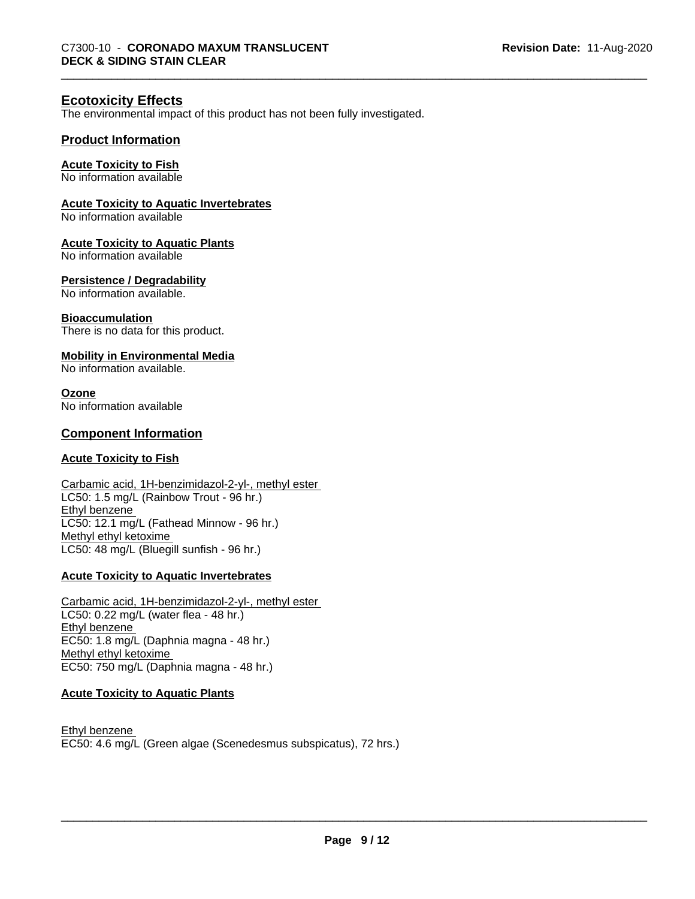#### **Ecotoxicity Effects**

The environmental impact of this product has not been fully investigated.

#### **Product Information**

#### **Acute Toxicity to Fish**

No information available

#### **Acute Toxicity to Aquatic Invertebrates**

No information available

#### **Acute Toxicity to Aquatic Plants**

No information available

#### **Persistence / Degradability**

No information available.

#### **Bioaccumulation**

There is no data for this product.

#### **Mobility in Environmental Media**

No information available.

#### **Ozone**

No information available

#### **Component Information**

#### **Acute Toxicity to Fish**

Carbamic acid, 1H-benzimidazol-2-yl-, methyl ester LC50: 1.5 mg/L (Rainbow Trout - 96 hr.) Ethyl benzene LC50: 12.1 mg/L (Fathead Minnow - 96 hr.) Methyl ethyl ketoxime LC50: 48 mg/L (Bluegill sunfish - 96 hr.)

#### **Acute Toxicity to Aquatic Invertebrates**

Carbamic acid, 1H-benzimidazol-2-yl-, methyl ester LC50: 0.22 mg/L (water flea - 48 hr.) Ethyl benzene EC50: 1.8 mg/L (Daphnia magna - 48 hr.) Methyl ethyl ketoxime EC50: 750 mg/L (Daphnia magna - 48 hr.)

#### **Acute Toxicity to Aquatic Plants**

Ethyl benzene EC50: 4.6 mg/L (Green algae (Scenedesmus subspicatus), 72 hrs.)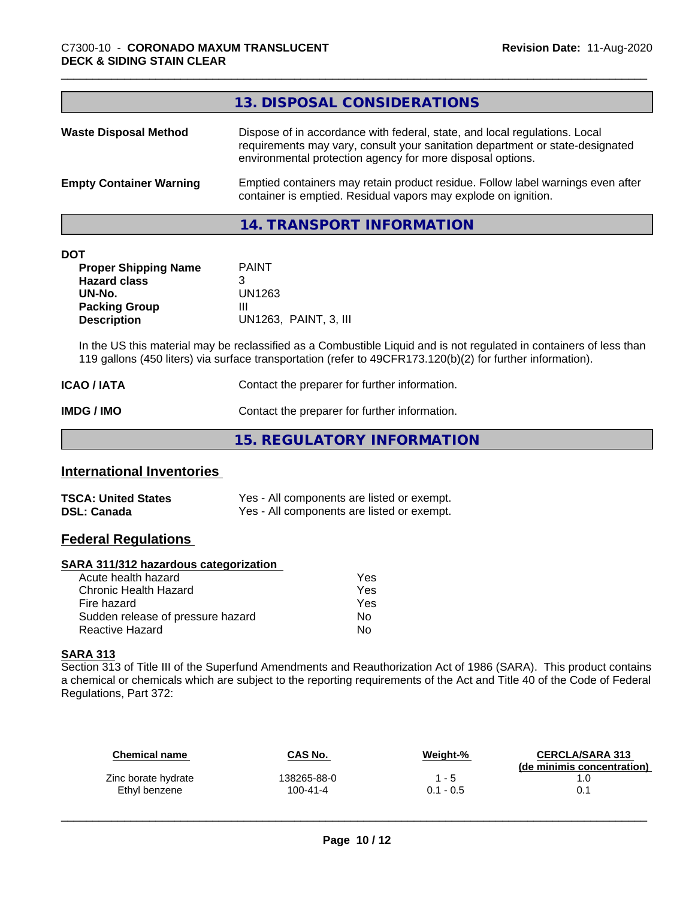#### **14. TRANSPORT INFORMATION**

| <b>DOT</b> |
|------------|
|------------|

| <b>Proper Shipping Name</b> | <b>PAINT</b>          |
|-----------------------------|-----------------------|
| <b>Hazard class</b>         | З                     |
| UN-No.                      | UN1263                |
| <b>Packing Group</b>        | Ш                     |
| <b>Description</b>          | UN1263. PAINT, 3. III |

In the US this material may be reclassified as a Combustible Liquid and is not regulated in containers of less than 119 gallons (450 liters) via surface transportation (refer to 49CFR173.120(b)(2) for further information).

| ICAO / IATA       | Contact the preparer for further information. |
|-------------------|-----------------------------------------------|
| <b>IMDG / IMO</b> | Contact the preparer for further information. |

**15. REGULATORY INFORMATION**

#### **International Inventories**

| <b>TSCA: United States</b> | Yes - All components are listed or exempt. |
|----------------------------|--------------------------------------------|
| <b>DSL: Canada</b>         | Yes - All components are listed or exempt. |

#### **Federal Regulations**

#### **SARA 311/312 hazardous categorization**

| Acute health hazard               | Yes |  |
|-----------------------------------|-----|--|
| Chronic Health Hazard             | Yes |  |
| Fire hazard                       | Yes |  |
| Sudden release of pressure hazard | N٥  |  |
| Reactive Hazard                   | Nο  |  |

#### **SARA 313**

Section 313 of Title III of the Superfund Amendments and Reauthorization Act of 1986 (SARA). This product contains a chemical or chemicals which are subject to the reporting requirements of the Act and Title 40 of the Code of Federal Regulations, Part 372:

| <b>Chemical name</b> | CAS No.        | Weight-%    | <b>CERCLA/SARA 313</b><br>(de minimis concentration) |
|----------------------|----------------|-------------|------------------------------------------------------|
| Zinc borate hydrate  | 138265-88-0    | $1 - 5$     | 1.0                                                  |
| Ethyl benzene        | $100 - 41 - 4$ | $0.1 - 0.5$ |                                                      |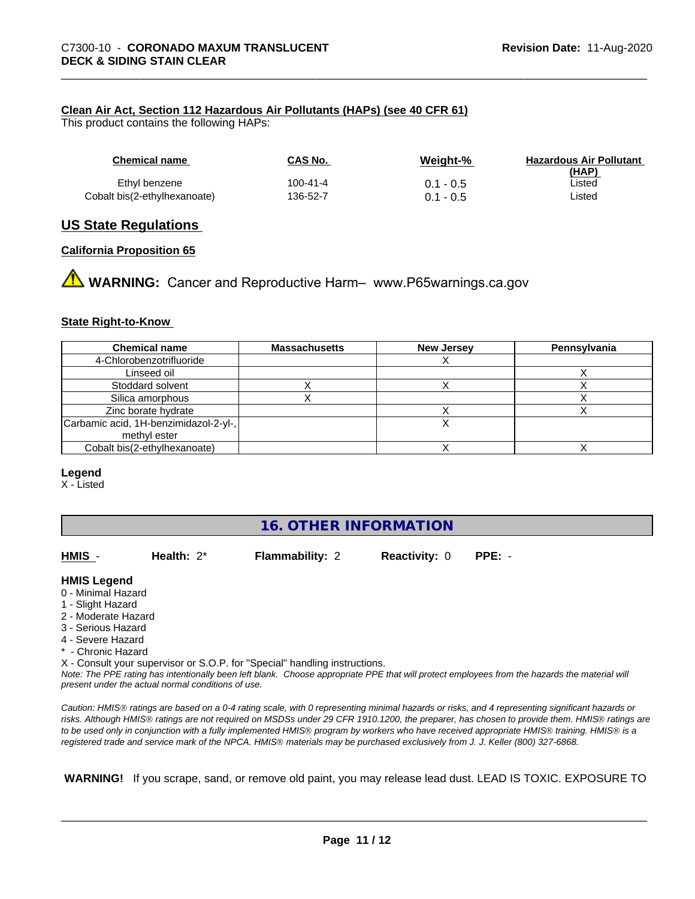#### **Clean Air Act,Section 112 Hazardous Air Pollutants (HAPs) (see 40 CFR 61)**

This product contains the following HAPs:

| <b>Chemical name</b>         | CAS No.  | Weight-%    | <b>Hazardous Air Pollutant</b><br>(HAP) |
|------------------------------|----------|-------------|-----------------------------------------|
| Ethyl benzene                | 100-41-4 | $0.1 - 0.5$ | ∟isted                                  |
| Cobalt bis(2-ethylhexanoate) | 136-52-7 | $0.1 - 0.5$ | Listed                                  |

#### **US State Regulations**

#### **California Proposition 65**

**A** WARNING: Cancer and Reproductive Harm– www.P65warnings.ca.gov

#### **State Right-to-Know**

| <b>Chemical name</b>                  | <b>Massachusetts</b> | <b>New Jersey</b> | Pennsylvania |
|---------------------------------------|----------------------|-------------------|--------------|
| 4-Chlorobenzotrifluoride              |                      |                   |              |
| Linseed oil                           |                      |                   |              |
| Stoddard solvent                      |                      |                   |              |
| Silica amorphous                      |                      |                   |              |
| Zinc borate hydrate                   |                      |                   |              |
| Carbamic acid, 1H-benzimidazol-2-yl-, |                      |                   |              |
| methyl ester                          |                      |                   |              |
| Cobalt bis(2-ethylhexanoate)          |                      |                   |              |

#### **Legend**

X - Listed

#### **16. OTHER INFORMATION**

**Flammability: 2 Reactivity: 0 PPE: -**

#### **HMIS Legend**

- 0 Minimal Hazard
- 1 Slight Hazard
- 2 Moderate Hazard
- 3 Serious Hazard
- 4 Severe Hazard
- \* Chronic Hazard

X - Consult your supervisor or S.O.P. for "Special" handling instructions.

*Note: The PPE rating has intentionally been left blank. Choose appropriate PPE that will protect employees from the hazards the material will present under the actual normal conditions of use.*

*Caution: HMISÒ ratings are based on a 0-4 rating scale, with 0 representing minimal hazards or risks, and 4 representing significant hazards or risks. Although HMISÒ ratings are not required on MSDSs under 29 CFR 1910.1200, the preparer, has chosen to provide them. HMISÒ ratings are to be used only in conjunction with a fully implemented HMISÒ program by workers who have received appropriate HMISÒ training. HMISÒ is a registered trade and service mark of the NPCA. HMISÒ materials may be purchased exclusively from J. J. Keller (800) 327-6868.*

 **WARNING!** If you scrape, sand, or remove old paint, you may release lead dust. LEAD IS TOXIC. EXPOSURE TO